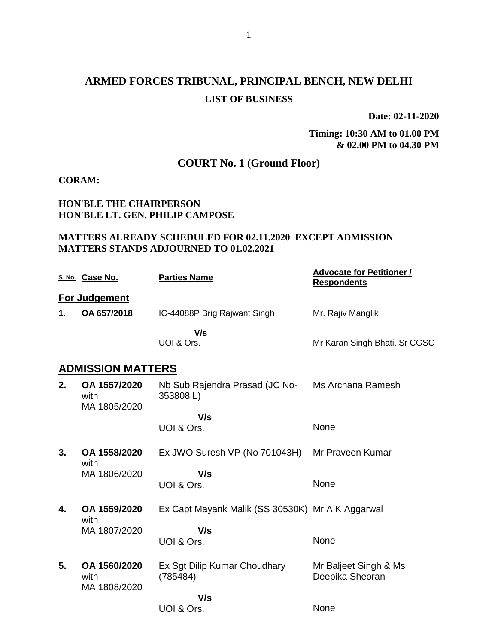# **ARMED FORCES TRIBUNAL, PRINCIPAL BENCH, NEW DELHI LIST OF BUSINESS**

**Date: 02-11-2020**

**Timing: 10:30 AM to 01.00 PM & 02.00 PM to 04.30 PM**

## **COURT No. 1 (Ground Floor)**

### **CORAM:**

### **HON'BLE THE CHAIRPERSON HON'BLE LT. GEN. PHILIP CAMPOSE**

#### **MATTERS ALREADY SCHEDULED FOR 02.11.2020 EXCEPT ADMISSION MATTERS STANDS ADJOURNED TO 01.02.2021**

|    | S. No. Case No.                      | <b>Parties Name</b>                              | <b>Advocate for Petitioner /</b><br><b>Respondents</b> |
|----|--------------------------------------|--------------------------------------------------|--------------------------------------------------------|
|    | For Judgement                        |                                                  |                                                        |
| 1. | OA 657/2018                          | IC-44088P Brig Rajwant Singh                     | Mr. Rajiv Manglik                                      |
|    |                                      | V/s<br>UOI & Ors.                                | Mr Karan Singh Bhati, Sr CGSC                          |
|    | <b>ADMISSION MATTERS</b>             |                                                  |                                                        |
| 2. | OA 1557/2020<br>with<br>MA 1805/2020 | Nb Sub Rajendra Prasad (JC No-<br>353808L)       | Ms Archana Ramesh                                      |
|    |                                      | V/s                                              |                                                        |
|    |                                      | UOI & Ors.                                       | None                                                   |
| 3. | OA 1558/2020<br>with                 | Ex JWO Suresh VP (No 701043H)                    | Mr Praveen Kumar                                       |
|    | MA 1806/2020                         | V/s<br>UOI & Ors.                                | None                                                   |
| 4. | OA 1559/2020<br>with                 | Ex Capt Mayank Malik (SS 30530K) Mr A K Aggarwal |                                                        |
|    | MA 1807/2020                         | V/s<br>UOI & Ors.                                | None                                                   |
| 5. | OA 1560/2020<br>with<br>MA 1808/2020 | Ex Sgt Dilip Kumar Choudhary<br>(785484)         | Mr Baljeet Singh & Ms<br>Deepika Sheoran               |
|    |                                      | V/s                                              |                                                        |
|    |                                      | UOI & Ors.                                       | None                                                   |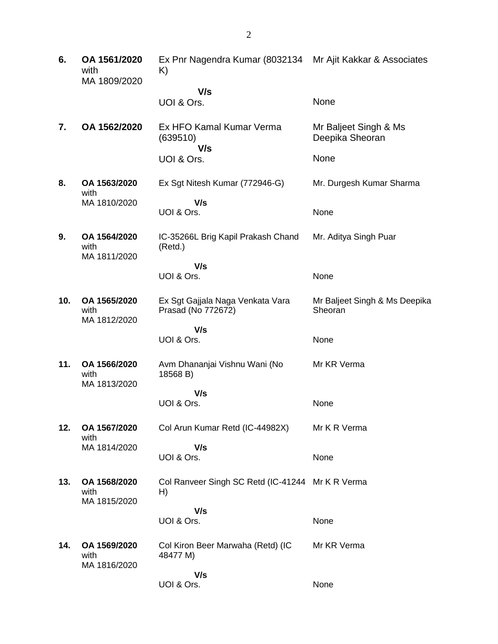**6. OA 1561/2020** with MA 1809/2020 Ex Pnr Nagendra Kumar (8032134 Mr Ajit Kakkar & Associates K)  **V/s** UOI & Ors. None **7. OA 1562/2020** Ex HFO Kamal Kumar Verma (639510)  **V/s** UOI & Ors. Mr Baljeet Singh & Ms Deepika Sheoran None **8. OA 1563/2020** with MA 1810/2020 Ex Sgt Nitesh Kumar (772946-G)  **V/s** UOI & Ors. Mr. Durgesh Kumar Sharma None **9. OA 1564/2020** with MA 1811/2020 IC-35266L Brig Kapil Prakash Chand (Retd.)  **V/s** UOI & Ors. Mr. Aditya Singh Puar None **10. OA 1565/2020** with MA 1812/2020 Ex Sgt Gajjala Naga Venkata Vara Prasad (No 772672)  **V/s** UOI & Ors. Mr Baljeet Singh & Ms Deepika Sheoran None **11. OA 1566/2020** with MA 1813/2020 Avm Dhananjai Vishnu Wani (No 18568 B)  **V/s** UOI & Ors. Mr KR Verma None **12. OA 1567/2020** with MA 1814/2020 Col Arun Kumar Retd (IC-44982X)  **V/s** UOI & Ors. Mr K R Verma None **13. OA 1568/2020** with MA 1815/2020 Col Ranveer Singh SC Retd (IC-41244 Mr K R Verma H)  **V/s** UOI & Ors. None **14. OA 1569/2020** with MA 1816/2020 Col Kiron Beer Marwaha (Retd) (IC 48477 M)  **V/s** UOI & Ors. Mr KR Verma None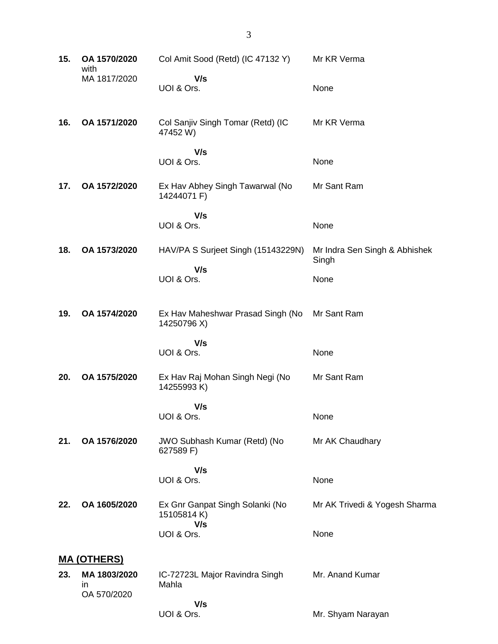| 15. | OA 1570/2020<br>with              | Col Amit Sood (Retd) (IC 47132 Y)                    | Mr KR Verma                            |  |
|-----|-----------------------------------|------------------------------------------------------|----------------------------------------|--|
|     | MA 1817/2020                      | V/s<br>UOI & Ors.                                    | None                                   |  |
| 16. | OA 1571/2020                      | Col Sanjiv Singh Tomar (Retd) (IC<br>47452 W)        | Mr KR Verma                            |  |
|     |                                   | V/s<br>UOI & Ors.                                    | None                                   |  |
| 17. | OA 1572/2020                      | Ex Hav Abhey Singh Tawarwal (No<br>14244071 F)       | Mr Sant Ram                            |  |
|     |                                   | V/s<br>UOI & Ors.                                    | None                                   |  |
| 18. | OA 1573/2020                      | HAV/PA S Surjeet Singh (15143229N)                   | Mr Indra Sen Singh & Abhishek<br>Singh |  |
|     |                                   | V/s<br>UOI & Ors.                                    | None                                   |  |
| 19. | OA 1574/2020                      | Ex Hav Maheshwar Prasad Singh (No<br>14250796 X)     | Mr Sant Ram                            |  |
|     |                                   | V/s<br>UOI & Ors.                                    | None                                   |  |
| 20. | OA 1575/2020                      | Ex Hav Raj Mohan Singh Negi (No<br>14255993K)        | Mr Sant Ram                            |  |
|     |                                   | V/s<br>UOI & Ors.                                    | None                                   |  |
| 21. | OA 1576/2020                      | JWO Subhash Kumar (Retd) (No<br>627589 F)            | Mr AK Chaudhary                        |  |
|     |                                   | V/s<br>UOI & Ors.                                    | None                                   |  |
| 22. | OA 1605/2020                      | Ex Gnr Ganpat Singh Solanki (No<br>15105814K)<br>V/s | Mr AK Trivedi & Yogesh Sharma          |  |
|     |                                   | UOI & Ors.                                           | None                                   |  |
|     | <b>MA (OTHERS)</b>                |                                                      |                                        |  |
| 23. | MA 1803/2020<br>in<br>OA 570/2020 | IC-72723L Major Ravindra Singh<br>Mahla              | Mr. Anand Kumar                        |  |
|     |                                   | V/s<br>UOI & Ors.                                    | Mr. Shyam Narayan                      |  |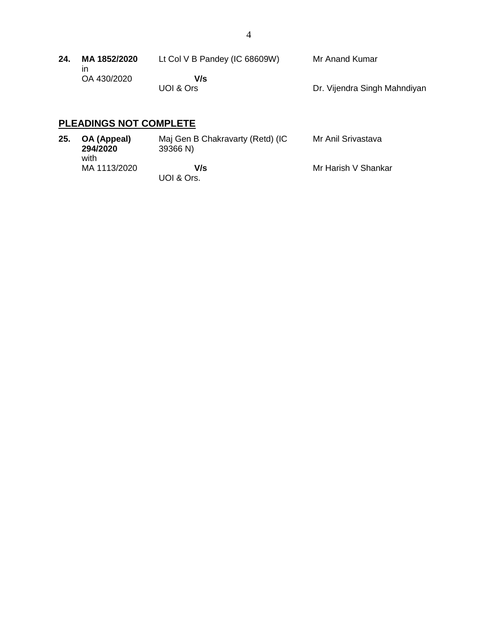| 24. | MA 1852/2020 | Lt Col V B Pandey (IC 68609W) | Mr Anand Kumar               |
|-----|--------------|-------------------------------|------------------------------|
|     | OA 430/2020  | V/s                           |                              |
|     |              | UOI & Ors                     | Dr. Vijendra Singh Mahndiyan |

# **PLEADINGS NOT COMPLETE**

| 25. | OA (Appeal)<br>294/2020<br>with | Maj Gen B Chakravarty (Retd) (IC<br>39366 N) | Mr Anil Srivastava  |
|-----|---------------------------------|----------------------------------------------|---------------------|
|     | MA 1113/2020                    | V/s<br>UOI & Ors.                            | Mr Harish V Shankar |